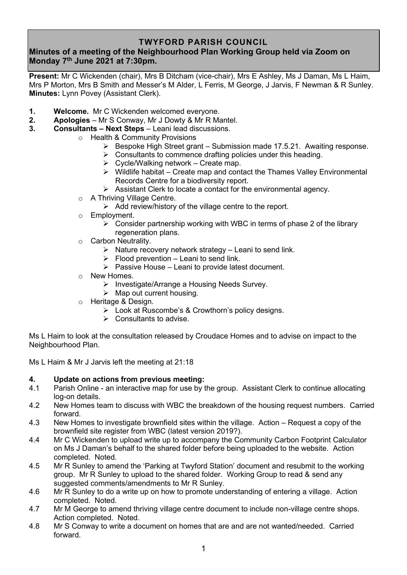## **TWYFORD PARISH COUNCIL**

# **Minutes of a meeting of the Neighbourhood Plan Working Group held via Zoom on Monday 7 th June 2021 at 7:30pm.**

**Present:** Mr C Wickenden (chair), Mrs B Ditcham (vice-chair), Mrs E Ashley, Ms J Daman, Ms L Haim, Mrs P Morton, Mrs B Smith and Messer's M Alder, L Ferris, M George, J Jarvis, F Newman & R Sunley. **Minutes:** Lynn Povey (Assistant Clerk).

- **1. Welcome.** Mr C Wickenden welcomed everyone.
- **2. Apologies** Mr S Conway, Mr J Dowty & Mr R Mantel.
- **3. Consultants – Next Steps** Leani lead discussions.
	- o Health & Community Provisions
		- ➢ Bespoke High Street grant Submission made 17.5.21. Awaiting response.
		- $\triangleright$  Consultants to commence drafting policies under this heading.
		- $\triangleright$  Cycle/Walking network Create map.
		- ➢ Wildlife habitat Create map and contact the Thames Valley Environmental Records Centre for a biodiversity report.
		- ➢ Assistant Clerk to locate a contact for the environmental agency.
	- o A Thriving Village Centre.
		- ➢ Add review/history of the village centre to the report.
	- o Employment.
		- $\triangleright$  Consider partnership working with WBC in terms of phase 2 of the library regeneration plans.
	- o Carbon Neutrality.
		- $\triangleright$  Nature recovery network strategy Leani to send link.
		- $\triangleright$  Flood prevention Leani to send link.
		- $\triangleright$  Passive House Leani to provide latest document.
	- o New Homes.
		- ➢ Investigate/Arrange a Housing Needs Survey.
		- $\triangleright$  Map out current housing.
	- o Heritage & Design.
		- ➢ Look at Ruscombe's & Crowthorn's policy designs.
		- ➢ Consultants to advise.

Ms L Haim to look at the consultation released by Croudace Homes and to advise on impact to the Neighbourhood Plan.

Ms L Haim & Mr J Jarvis left the meeting at 21:18

#### **4. Update on actions from previous meeting:**

- 4.1 Parish Online an interactive map for use by the group. Assistant Clerk to continue allocating log-on details.
- 4.2 New Homes team to discuss with WBC the breakdown of the housing request numbers. Carried forward.
- 4.3 New Homes to investigate brownfield sites within the village. Action Request a copy of the brownfield site register from WBC (latest version 2019?).
- 4.4 Mr C Wickenden to upload write up to accompany the Community Carbon Footprint Calculator on Ms J Daman's behalf to the shared folder before being uploaded to the website. Action completed. Noted.
- 4.5 Mr R Sunley to amend the 'Parking at Twyford Station' document and resubmit to the working group. Mr R Sunley to upload to the shared folder. Working Group to read & send any suggested comments/amendments to Mr R Sunley.
- 4.6 Mr R Sunley to do a write up on how to promote understanding of entering a village. Action completed. Noted.
- 4.7 Mr M George to amend thriving village centre document to include non-village centre shops. Action completed. Noted.
- 4.8 Mr S Conway to write a document on homes that are and are not wanted/needed. Carried forward.